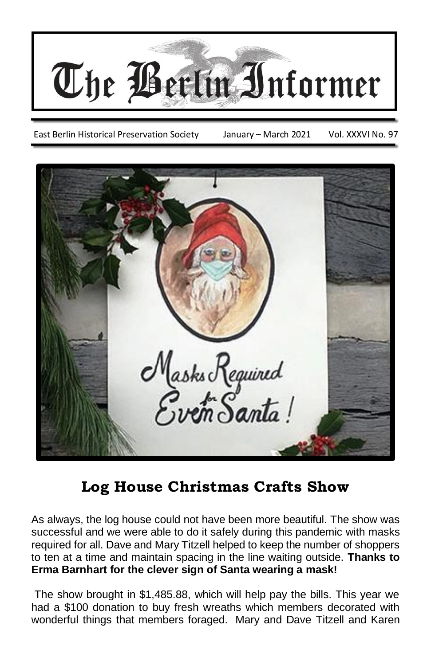

East Berlin Historical Preservation Society January – March 2021 Vol. XXXVI No. 97



## **Log House Christmas Crafts Show**

As always, the log house could not have been more beautiful. The show was successful and we were able to do it safely during this pandemic with masks required for all. Dave and Mary Titzell helped to keep the number of shoppers to ten at a time and maintain spacing in the line waiting outside. **Thanks to Erma Barnhart for the clever sign of Santa wearing a mask!**

The show brought in \$1,485.88, which will help pay the bills. This year we had a \$100 donation to buy fresh wreaths which members decorated with wonderful things that members foraged. Mary and Dave Titzell and Karen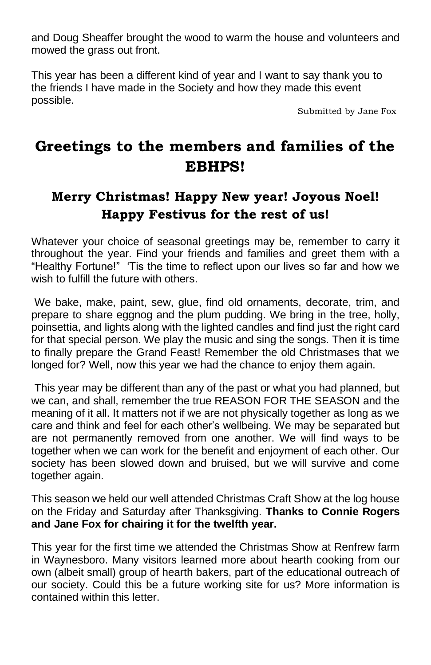and Doug Sheaffer brought the wood to warm the house and volunteers and mowed the grass out front.

This year has been a different kind of year and I want to say thank you to the friends I have made in the Society and how they made this event possible.

Submitted by Jane Fox

## **Greetings to the members and families of the EBHPS!**

### **Merry Christmas! Happy New year! Joyous Noel! Happy Festivus for the rest of us!**

Whatever your choice of seasonal greetings may be, remember to carry it throughout the year. Find your friends and families and greet them with a "Healthy Fortune!" 'Tis the time to reflect upon our lives so far and how we wish to fulfill the future with others.

We bake, make, paint, sew, glue, find old ornaments, decorate, trim, and prepare to share eggnog and the plum pudding. We bring in the tree, holly, poinsettia, and lights along with the lighted candles and find just the right card for that special person. We play the music and sing the songs. Then it is time to finally prepare the Grand Feast! Remember the old Christmases that we longed for? Well, now this year we had the chance to enjoy them again.

This year may be different than any of the past or what you had planned, but we can, and shall, remember the true REASON FOR THE SEASON and the meaning of it all. It matters not if we are not physically together as long as we care and think and feel for each other's wellbeing. We may be separated but are not permanently removed from one another. We will find ways to be together when we can work for the benefit and enjoyment of each other. Our society has been slowed down and bruised, but we will survive and come together again.

This season we held our well attended Christmas Craft Show at the log house on the Friday and Saturday after Thanksgiving. **Thanks to Connie Rogers and Jane Fox for chairing it for the twelfth year.**

This year for the first time we attended the Christmas Show at Renfrew farm in Waynesboro. Many visitors learned more about hearth cooking from our own (albeit small) group of hearth bakers, part of the educational outreach of our society. Could this be a future working site for us? More information is contained within this letter.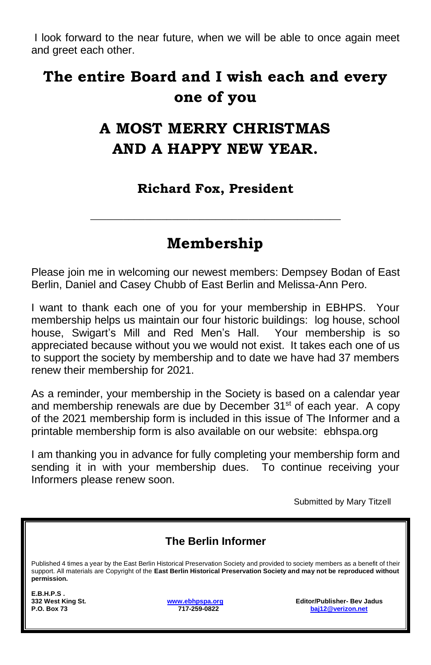I look forward to the near future, when we will be able to once again meet and greet each other.

# **The entire Board and I wish each and every one of you**

# **A MOST MERRY CHRISTMAS AND A HAPPY NEW YEAR.**

#### **Richard Fox, President**

## **Membership**

**\_\_\_\_\_\_\_\_\_\_\_\_\_\_\_\_\_\_\_\_\_\_\_\_\_\_\_\_\_\_\_\_\_\_\_\_\_\_\_\_\_\_\_\_\_\_**

Please join me in welcoming our newest members: Dempsey Bodan of East Berlin, Daniel and Casey Chubb of East Berlin and Melissa-Ann Pero.

I want to thank each one of you for your membership in EBHPS. Your membership helps us maintain our four historic buildings: log house, school house, Swigart's Mill and Red Men's Hall. Your membership is so appreciated because without you we would not exist. It takes each one of us to support the society by membership and to date we have had 37 members renew their membership for 2021.

As a reminder, your membership in the Society is based on a calendar year and membership renewals are due by December 31<sup>st</sup> of each year. A copy of the 2021 membership form is included in this issue of The Informer and a printable membership form is also available on our website: ebhspa.org

I am thanking you in advance for fully completing your membership form and sending it in with your membership dues. To continue receiving your Informers please renew soon.

Submitted by Mary Titzell

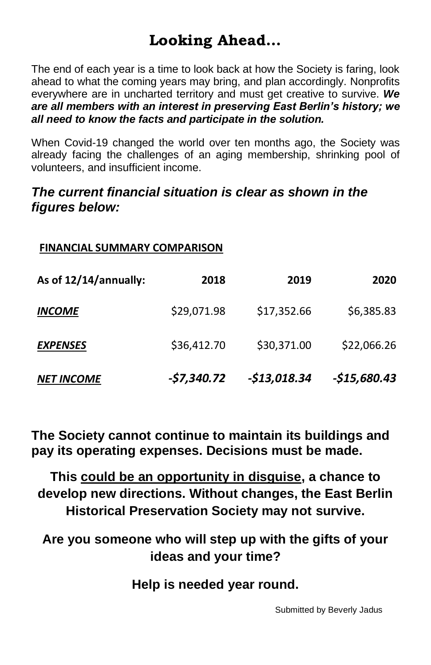# **Looking Ahead…**

The end of each year is a time to look back at how the Society is faring, look ahead to what the coming years may bring, and plan accordingly. Nonprofits everywhere are in uncharted territory and must get creative to survive. *We are all members with an interest in preserving East Berlin's history; we all need to know the facts and participate in the solution.*

When Covid-19 changed the world over ten months ago, the Society was already facing the challenges of an aging membership, shrinking pool of volunteers, and insufficient income.

#### *The current financial situation is clear as shown in the figures below:*

| <b>FINANCIAL SUMMARY COMPARISON</b> |             |              |              |  |  |  |
|-------------------------------------|-------------|--------------|--------------|--|--|--|
| As of 12/14/annually:               | 2018        | 2019         | 2020         |  |  |  |
| <b>INCOME</b>                       | \$29,071.98 | \$17,352.66  | \$6,385.83   |  |  |  |
| <b>EXPENSES</b>                     | \$36,412.70 | \$30,371.00  | \$22,066.26  |  |  |  |
| <b>NET INCOME</b>                   | -\$7,340.72 | -\$13,018.34 | -\$15,680.43 |  |  |  |

**The Society cannot continue to maintain its buildings and pay its operating expenses. Decisions must be made.**

**This could be an opportunity in disguise, a chance to develop new directions. Without changes, the East Berlin Historical Preservation Society may not survive.**

**Are you someone who will step up with the gifts of your ideas and your time?**

**Help is needed year round.**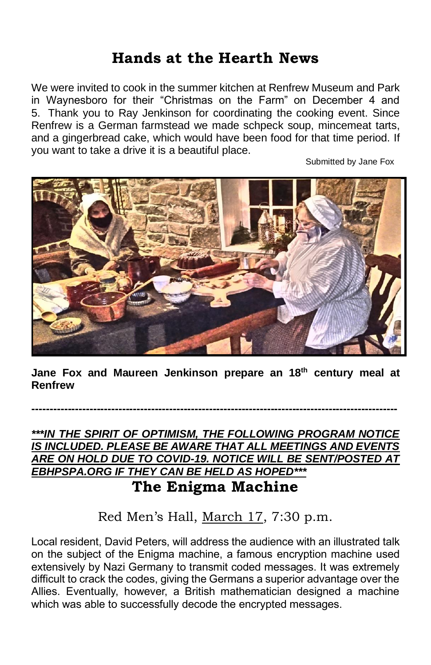## **Hands at the Hearth News**

We were invited to cook in the summer kitchen at Renfrew Museum and Park in Waynesboro for their "Christmas on the Farm" on December 4 and 5. Thank you to Ray Jenkinson for coordinating the cooking event. Since Renfrew is a German farmstead we made schpeck soup, mincemeat tarts, and a gingerbread cake, which would have been food for that time period. If you want to take a drive it is a beautiful place.

Submitted by Jane Fox



**Jane Fox and Maureen Jenkinson prepare an 18th century meal at Renfrew**

**-----------------------------------------------------------------------------------------------------**

*\*\*\*IN THE SPIRIT OF OPTIMISM, THE FOLLOWING PROGRAM NOTICE IS INCLUDED. PLEASE BE AWARE THAT ALL MEETINGS AND EVENTS ARE ON HOLD DUE TO COVID-19. NOTICE WILL BE SENT/POSTED AT EBHPSPA.ORG IF THEY CAN BE HELD AS HOPED\*\*\**

# **The Enigma Machine**

Red Men's Hall, March 17, 7:30 p.m.

Local resident, David Peters, will address the audience with an illustrated talk on the subject of the Enigma machine, a famous encryption machine used extensively by Nazi Germany to transmit coded messages. It was extremely difficult to crack the codes, giving the Germans a superior advantage over the Allies. Eventually, however, a British mathematician designed a machine which was able to successfully decode the encrypted messages.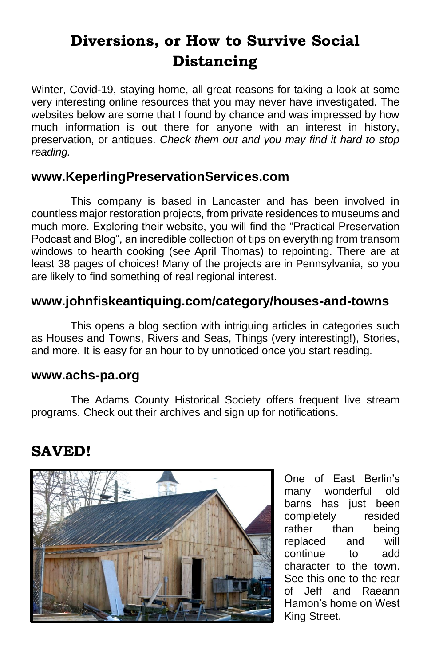# **Diversions, or How to Survive Social Distancing**

Winter, Covid-19, staying home, all great reasons for taking a look at some very interesting online resources that you may never have investigated. The websites below are some that I found by chance and was impressed by how much information is out there for anyone with an interest in history, preservation, or antiques. *Check them out and you may find it hard to stop reading.*

#### **www.KeperlingPreservationServices.com**

This company is based in Lancaster and has been involved in countless major restoration projects, from private residences to museums and much more. Exploring their website, you will find the "Practical Preservation Podcast and Blog", an incredible collection of tips on everything from transom windows to hearth cooking (see April Thomas) to repointing. There are at least 38 pages of choices! Many of the projects are in Pennsylvania, so you are likely to find something of real regional interest.

#### **www.johnfiskeantiquing.com/category/houses-and-towns**

This opens a blog section with intriguing articles in categories such as Houses and Towns, Rivers and Seas, Things (very interesting!), Stories, and more. It is easy for an hour to by unnoticed once you start reading.

#### **www.achs-pa.org**

The Adams County Historical Society offers frequent live stream programs. Check out their archives and sign up for notifications.

## **SAVED!**



One of East Berlin's many wonderful old barns has just been completely resided rather than being replaced and will continue to add character to the town. See this one to the rear of Jeff and Raeann Hamon's home on West King Street.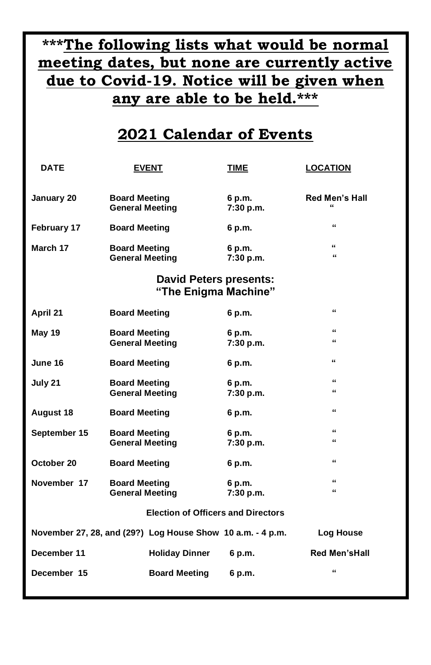# **\*\*\*The following lists what would be normal meeting dates, but none are currently active due to Covid-19. Notice will be given when any are able to be held.\*\*\***

### **2021 Calendar of Events**

| DATE                                                       |                                                | <b>EVENT</b>                                          | TIME                | <b>LOCATION</b>                     |
|------------------------------------------------------------|------------------------------------------------|-------------------------------------------------------|---------------------|-------------------------------------|
| January 20                                                 | <b>Board Meeting</b><br><b>General Meeting</b> |                                                       | 6 p.m.<br>7:30 p.m. | <b>Red Men's Hall</b><br>$\epsilon$ |
| February 17                                                | <b>Board Meeting</b>                           |                                                       | 6 p.m.              | "                                   |
| March 17                                                   | <b>Board Meeting</b><br><b>General Meeting</b> |                                                       | 6 p.m.<br>7:30 p.m. | $\epsilon$<br>$\epsilon$            |
|                                                            |                                                | <b>David Peters presents:</b><br>"The Enigma Machine" |                     |                                     |
| April 21                                                   | <b>Board Meeting</b>                           |                                                       | 6 p.m.              | $\epsilon$                          |
| May 19                                                     | <b>Board Meeting</b><br><b>General Meeting</b> |                                                       | 6 p.m.<br>7:30 p.m. | $\epsilon$<br>"                     |
| June 16                                                    | <b>Board Meeting</b>                           |                                                       | 6 p.m.              | $\epsilon$                          |
| July 21                                                    | <b>Board Meeting</b><br><b>General Meeting</b> |                                                       | 6 p.m.<br>7:30 p.m. | $\epsilon$<br>"                     |
| August 18                                                  | <b>Board Meeting</b>                           |                                                       | 6 p.m.              | $\epsilon$                          |
| September 15                                               | <b>Board Meeting</b><br><b>General Meeting</b> |                                                       | 6 p.m.<br>7:30 p.m. | $\epsilon$<br>$\epsilon$            |
| October 20                                                 | <b>Board Meeting</b>                           |                                                       | 6 p.m.              | $\epsilon$                          |
| November 17                                                | <b>Board Meeting</b><br><b>General Meeting</b> |                                                       | 6 p.m.<br>7:30 p.m. | $\epsilon$<br>$\epsilon$            |
|                                                            |                                                | <b>Election of Officers and Directors</b>             |                     |                                     |
| November 27, 28, and (29?) Log House Show 10 a.m. - 4 p.m. |                                                |                                                       |                     | Log House                           |
| December 11                                                |                                                | <b>Holiday Dinner</b>                                 | 6 p.m.              | <b>Red Men'sHall</b>                |
| December 15                                                |                                                | <b>Board Meeting</b>                                  | 6 p.m.              | "                                   |